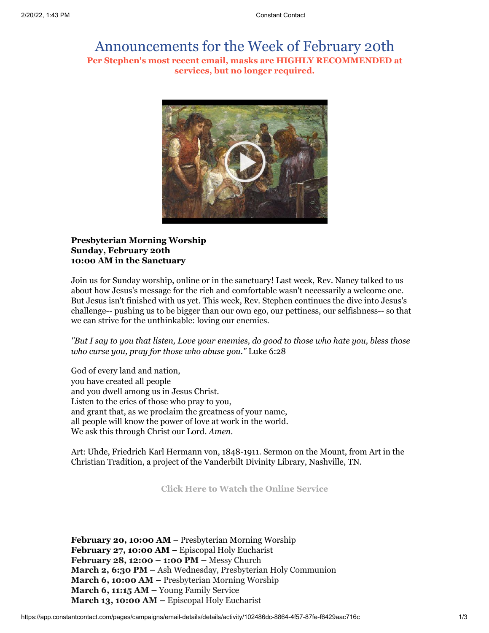## Announcements for the Week of February 20th **Per Stephen's most recent email, masks are HIGHLY RECOMMENDED at services, but no longer required.**



## **Presbyterian Morning Worship Sunday, February 20th 10:00 AM in the Sanctuary**

Join us for Sunday worship, online or in the sanctuary! Last week, Rev. Nancy talked to us about how Jesus's message for the rich and comfortable wasn't necessarily a welcome one. But Jesus isn't finished with us yet. This week, Rev. Stephen continues the dive into Jesus's challenge-- pushing us to be bigger than our own ego, our pettiness, our selfishness-- so that we can strive for the unthinkable: loving our enemies.

*"But I say to you that listen, Love your enemies, do good to those who hate you, bless those who curse you, pray for those who abuse you."* Luke 6:28

God of every land and nation, you have created all people and you dwell among us in Jesus Christ. Listen to the cries of those who pray to you, and grant that, as we proclaim the greatness of your name, all people will know the power of love at work in the world. We ask this through Christ our Lord. *Amen.*

Art: Uhde, Friedrich Karl Hermann von, 1848-1911. Sermon on the Mount, from Art in the Christian Tradition, a project of the Vanderbilt Divinity Library, Nashville, TN.

**[Click Here to Watch the Online Service](https://youtu.be/e6-TEa-s7uY)**

**February 20, 10:00 AM** – Presbyterian Morning Worship **February 27, 10:00 AM** – Episcopal Holy Eucharist **February 28, 12:00 – 1:00 PM –** Messy Church **March 2, 6:30 PM –** Ash Wednesday, Presbyterian Holy Communion **March 6, 10:00 AM –** Presbyterian Morning Worship **March 6, 11:15 AM –** Young Family Service **March 13, 10:00 AM –** Episcopal Holy Eucharist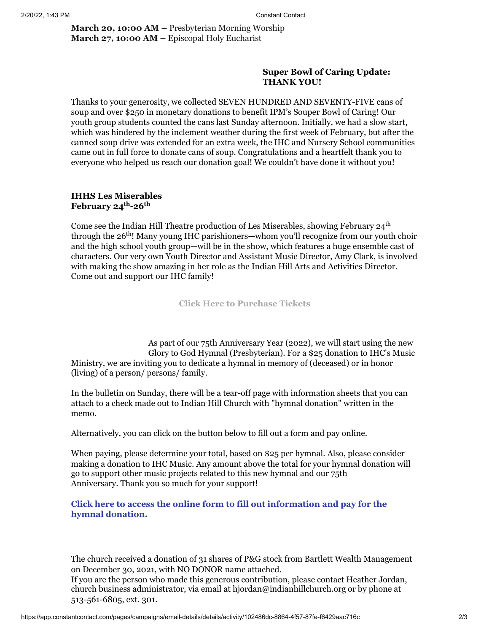**March 20, 10:00 AM –** Presbyterian Morning Worship **March 27, 10:00 AM –** Episcopal Holy Eucharist

## **Super Bowl of Caring Update: THANK YOU!**

Thanks to your generosity, we collected SEVEN HUNDRED AND SEVENTY-FIVE cans of soup and over \$250 in monetary donations to benefit IPM's Souper Bowl of Caring! Our youth group students counted the cans last Sunday afternoon. Initially, we had a slow start, which was hindered by the inclement weather during the first week of February, but after the canned soup drive was extended for an extra week, the IHC and Nursery School communities came out in full force to donate cans of soup. Congratulations and a heartfelt thank you to everyone who helped us reach our donation goal! We couldn't have done it without you!

## **IHHS Les Miserables February 24th -26th**

Come see the Indian Hill Theatre production of Les Miserables, showing February 24<sup>th</sup> through the 26<sup>th</sup>! Many young IHC parishioners—whom you'll recognize from our youth choir and the high school youth group—will be in the show, which features a huge ensemble cast of characters. Our very own Youth Director and Assistant Music Director, Amy Clark, is involved with making the show amazing in her role as the Indian Hill Arts and Activities Director. Come out and support our IHC family!

**[Click Here to Purchase Tickets](http://bit.ly/IHTheatre)**

As part of our 75th Anniversary Year (2022), we will start using the new Glory to God Hymnal (Presbyterian). For a \$25 donation to IHC's Music Ministry, we are inviting you to dedicate a hymnal in memory of (deceased) or in honor (living) of a person/ persons/ family.

In the bulletin on Sunday, there will be a tear-off page with information sheets that you can attach to a check made out to Indian Hill Church with "hymnal donation" written in the memo.

Alternatively, you can click on the button below to fill out a form and pay online.

When paying, please determine your total, based on \$25 per hymnal. Also, please consider making a donation to IHC Music. Any amount above the total for your hymnal donation will go to support other music projects related to this new hymnal and our 75th Anniversary. Thank you so much for your support!

**[Click here to access the online form to fill out information and pay for the](https://docs.google.com/forms/d/e/1FAIpQLSe3PeSZMzJG2cAg_tPGHfK35kXle78YjJ1M4vNaTq7uy_gp7g/viewform) hymnal donation.**

The church received a donation of 31 shares of P&G stock from Bartlett Wealth Management on December 30, 2021, with NO DONOR name attached.

If you are the person who made this generous contribution, please contact Heather Jordan, church business administrator, via email at [hjordan@indianhillchurch.org](mailto:hjordan@indianhillchurch.org) or by phone at 513-561-6805, ext. 301.